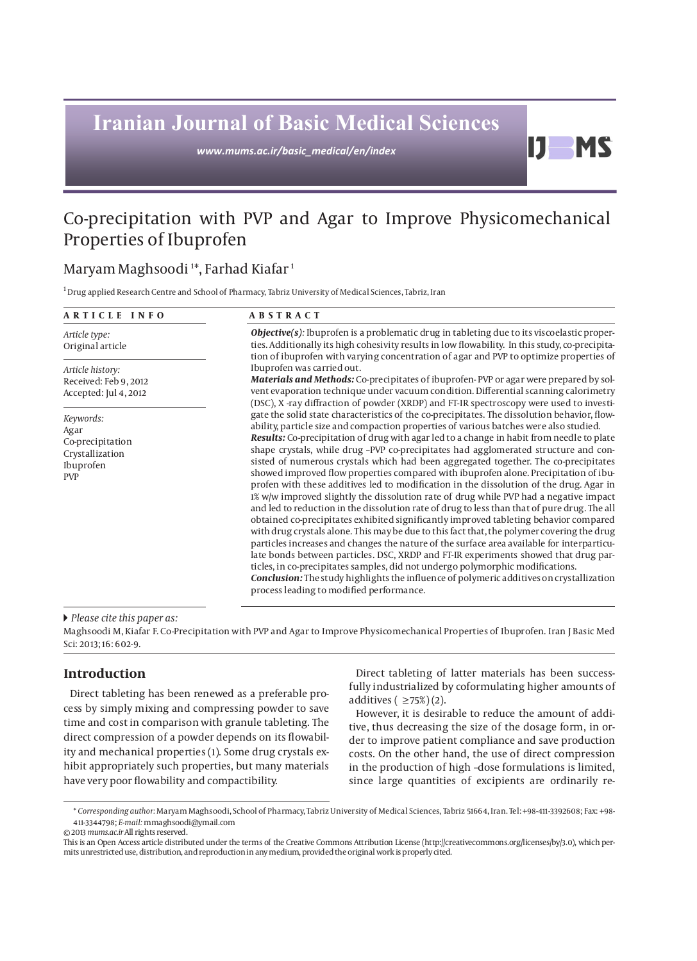# **Iranian Journal of Basic Medical Sciences**

*www.mums.ac.ir/basic\_medical/en/index*

## Co-precipitation with PVP and Agar to Improve Physicomechanical Properties of Ibuprofen

### Maryam Maghsoodi <sup>1</sup>\*, Farhad Kiafar <sup>1</sup>

 $^{\rm 1}$ Drug applied Research Centre and School of Pharmacy, Tabriz University of Medical Sciences, Tabriz, Iran

| ARTICLE INFO                                                                        | <b>ABSTRACT</b>                                                                                                                                                                                                                                                                                                                                                                                                                                                                                                                                                                                                                                                                                                                                                                                                                                                                                                                                                                                                                                                                                                                                                                                                                                                                                                                                                                                                                                                   |  |  |  |  |
|-------------------------------------------------------------------------------------|-------------------------------------------------------------------------------------------------------------------------------------------------------------------------------------------------------------------------------------------------------------------------------------------------------------------------------------------------------------------------------------------------------------------------------------------------------------------------------------------------------------------------------------------------------------------------------------------------------------------------------------------------------------------------------------------------------------------------------------------------------------------------------------------------------------------------------------------------------------------------------------------------------------------------------------------------------------------------------------------------------------------------------------------------------------------------------------------------------------------------------------------------------------------------------------------------------------------------------------------------------------------------------------------------------------------------------------------------------------------------------------------------------------------------------------------------------------------|--|--|--|--|
| Article type:<br>Original article                                                   | <b>Objective(s):</b> Ibuprofen is a problematic drug in tableting due to its viscoelastic proper-<br>ties. Additionally its high cohesivity results in low flowability. In this study, co-precipita-<br>tion of ibuprofen with varying concentration of agar and PVP to optimize properties of                                                                                                                                                                                                                                                                                                                                                                                                                                                                                                                                                                                                                                                                                                                                                                                                                                                                                                                                                                                                                                                                                                                                                                    |  |  |  |  |
| Article history:<br>Received: Feb 9, 2012<br>Accepted: Jul 4, 2012                  | Ibuprofen was carried out.<br>Materials and Methods: Co-precipitates of ibuprofen-PVP or agar were prepared by sol-<br>vent evaporation technique under vacuum condition. Differential scanning calorimetry<br>(DSC), X -ray diffraction of powder (XRDP) and FT-IR spectroscopy were used to investi-                                                                                                                                                                                                                                                                                                                                                                                                                                                                                                                                                                                                                                                                                                                                                                                                                                                                                                                                                                                                                                                                                                                                                            |  |  |  |  |
| Keywords:<br>Agar<br>Co-precipitation<br>Crystallization<br>Ibuprofen<br><b>PVP</b> | gate the solid state characteristics of the co-precipitates. The dissolution behavior, flow-<br>ability, particle size and compaction properties of various batches were also studied.<br><b>Results:</b> Co-precipitation of drug with agar led to a change in habit from needle to plate<br>shape crystals, while drug -PVP co-precipitates had agglomerated structure and con-<br>sisted of numerous crystals which had been aggregated together. The co-precipitates<br>showed improved flow properties compared with ibuprofen alone. Precipitation of ibu-<br>profen with these additives led to modification in the dissolution of the drug. Agar in<br>1% w/w improved slightly the dissolution rate of drug while PVP had a negative impact<br>and led to reduction in the dissolution rate of drug to less than that of pure drug. The all<br>obtained co-precipitates exhibited significantly improved tableting behavior compared<br>with drug crystals alone. This may be due to this fact that, the polymer covering the drug<br>particles increases and changes the nature of the surface area available for interparticu-<br>late bonds between particles. DSC, XRDP and FT-IR experiments showed that drug par-<br>ticles, in co-precipitates samples, did not undergo polymorphic modifications.<br><b>Conclusion:</b> The study highlights the influence of polymeric additives on crystallization<br>process leading to modified performance. |  |  |  |  |

#### *Please cite this paper as:*

Maghsoodi M, Kiafar F. Co-Precipitation with PVP and Agar to Improve Physicomechanical Properties of Ibuprofen. Iran J Basic Med Sci: 2013; 16: 602-9.

#### **Introduction**

Direct tableting has been renewed as a preferable process by simply mixing and compressing powder to save time and cost in comparison with granule tableting. The direct compression of a powder depends on its flowability and mechanical properties (1). Some drug crystals exhibit appropriately such properties, but many materials have very poor flowability and compactibility.

Direct tableting of latter materials has been successfully industrialized by coformulating higher amounts of additives  $( \geq 75\%) (2)$ .

D.

**MS** 

However, it is desirable to reduce the amount of additive, thus decreasing the size of the dosage form, in order to improve patient compliance and save production costs. On the other hand, the use of direct compression in the production of high –dose formulations is limited, since large quantities of excipients are ordinarily re-

© 2013 *mums.ac.ir* All rights reserved.

<sup>\*</sup> *Corresponding author:* Maryam Maghsoodi, School of Pharmacy, Tabriz University of Medical Sciences, Tabriz 51664, Iran. Tel: +98-411-3392608; Fax: +98- 411-3344798; *E-mail:* mmaghsoodi@ymail.com

This is an Open Access article distributed under the terms of the Creative Commons Attribution License (http://creativecommons.org/licenses/by/3.0), which permits unrestricted use, distribution, and reproduction in any medium, provided the original work is properly cited.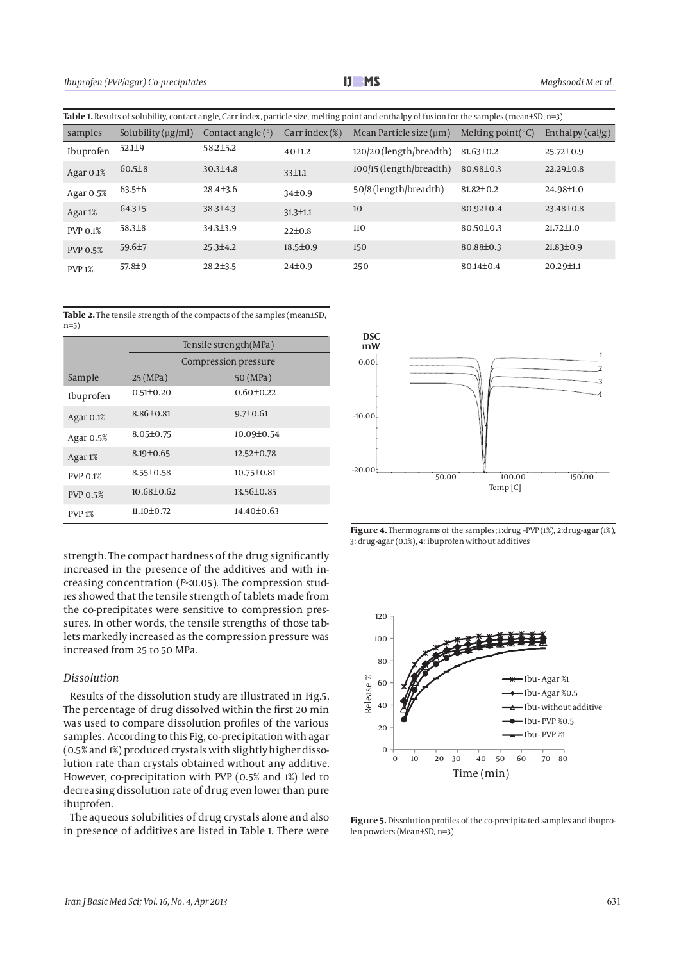| <b>Table 1.</b> Results of solubility, contact angle, Carr index, particle size, melting point and enthalpy of fusion for the samples (mean±SD, n=3) |                         |                     |                   |                              |                                |                    |  |
|------------------------------------------------------------------------------------------------------------------------------------------------------|-------------------------|---------------------|-------------------|------------------------------|--------------------------------|--------------------|--|
| samples                                                                                                                                              | Solubility $(\mu g/ml)$ | Contact angle $(°)$ | Carr index $(\%)$ | Mean Particle size $(\mu m)$ | Melting point( ${}^{\circ}C$ ) | Enthalpy $(cal/g)$ |  |
| Ibuprofen                                                                                                                                            | $52.1 \pm 9$            | $58.2 \pm 5.2$      | 40±1.2            | 120/20 (length/breadth)      | $81.63 \pm 0.2$                | $25.72 \pm 0.9$    |  |
| Agar 0.1%                                                                                                                                            | $60.5 \pm 8$            | $30.3{\pm}4.8$      | 33±1.1            | 100/15 (length/breadth)      | 80.98±0.3                      | $22.29 \pm 0.8$    |  |
| Agar $0.5%$                                                                                                                                          | $63.5 \pm 6$            | $28.4 \pm 3.6$      | $34\pm0.9$        | 50/8 (length/breadth)        | $81.82 \pm 0.2$                | 24.98±1.0          |  |
| Agar 1%                                                                                                                                              | $64.3{\pm}5$            | $38.3{\pm}4.3$      | $31.3 \pm 1.1$    | 10                           | $80.92{\pm}0.4$                | 23.48±0.8          |  |
| <b>PVP 0.1%</b>                                                                                                                                      | $58.3{\pm}8$            | $34.3{\pm}3.9$      | 22±0.8            | 110                          | $80.50 \pm 0.3$                | $21.72 \pm 1.0$    |  |
| <b>PVP 0.5%</b>                                                                                                                                      | $59.6{\pm}7$            | $25.3 \pm 4.2$      | $18.5 \pm 0.9$    | 150                          | 80.88±0.3                      | $21.83 \pm 0.9$    |  |
| <b>PVP1%</b>                                                                                                                                         | $57.8{\pm}9$            | $28.2 \pm 3.5$      | $24\pm0.9$        | 250                          | $80.14 \pm 0.4$                | $20.29 \pm 1.1$    |  |

Table 2. The tensile strength of the compacts of the samples (mean±SD, n=5)

|                 | Tensile strength(MPa) |                  |  |  |
|-----------------|-----------------------|------------------|--|--|
|                 | Compression pressure  |                  |  |  |
| Sample          | 25(MPa)               | 50 (MPa)         |  |  |
| Ibuprofen       | $0.51 \pm 0.20$       | $0.60 \pm 0.22$  |  |  |
| Agar 0.1%       | $8.86 \pm 0.81$       | $9.7 \pm 0.61$   |  |  |
| Agar $0.5%$     | $8.05 \pm 0.75$       | 10.09±0.54       |  |  |
| Agar 1%         | $8.19 \pm 0.65$       | $12.52 \pm 0.78$ |  |  |
| <b>PVP 0.1%</b> | $8.55 \pm 0.58$       | $10.75 \pm 0.81$ |  |  |
| <b>PVP 0.5%</b> | $10.68 \pm 0.62$      | 13.56±0.85       |  |  |
| <b>PVP1%</b>    | $11.10 \pm 0.72$      | $14.40 \pm 0.63$ |  |  |





strength. The compact hardness of the drug significantly increased in the presence of the additives and with increasing concentration (*P<*0.05). The compression studies showed that the tensile strength of tablets made from the co-precipitates were sensitive to compression pressures. In other words, the tensile strengths of those tablets markedly increased as the compression pressure was increased from 25 to 50 MPa.

#### *Dissolution*

Results of the dissolution study are illustrated in Fig.5. The percentage of drug dissolved within the first 20 min was used to compare dissolution profiles of the various samples.According to this Fig, co-precipitation with agar (0.5% and 1%) produced crystals with slightly higher dissolution rate than crystals obtained without any additive. However, co-precipitation with PVP (0.5% and 1%) led to decreasing dissolution rate of drug even lower than pure ibuprofen.

The aqueous solubilities of drug crystals alone and also in presence of additives are listed in Table 1. There were



**Figure 5.** Dissolution profiles of the co-precipitated samples and ibuprofen powders (Mean±SD, n=3)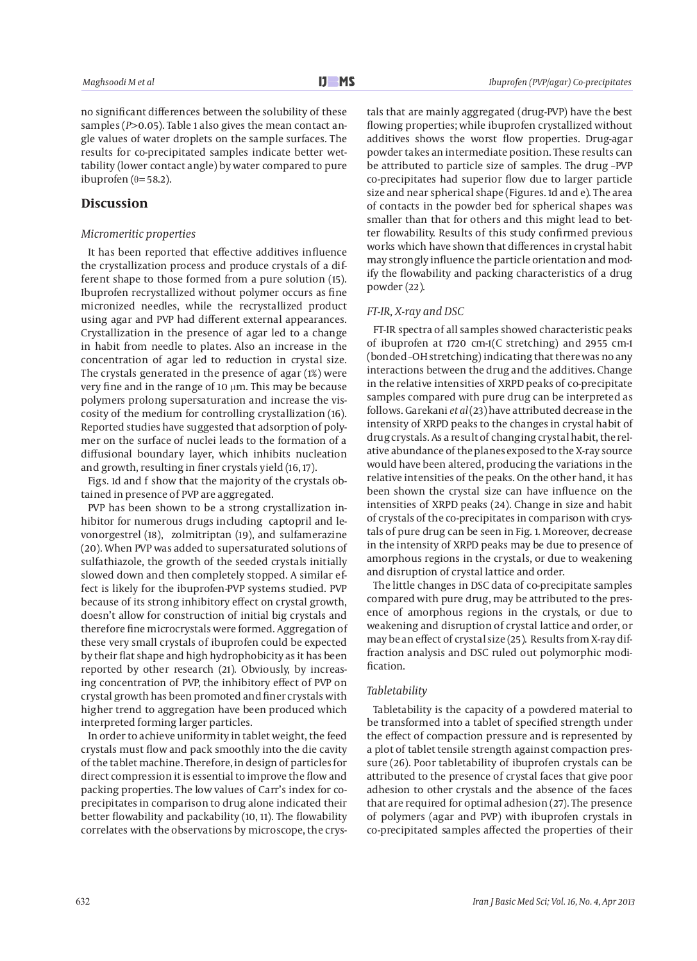no significant differences between the solubility of these samples (*P>*0.05). Table 1 also gives the mean contact angle values of water droplets on the sample surfaces. The results for co-precipitated samples indicate better wettability (lower contact angle) by water compared to pure ibuprofen ( $\theta$ = 58.2).

#### **Discussion**

#### *Micromeritic properties*

It has been reported that effective additives influence the crystallization process and produce crystals of a different shape to those formed from a pure solution (15). Ibuprofen recrystallized without polymer occurs as fine micronized needles, while the recrystallized product using agar and PVP had different external appearances. Crystallization in the presence of agar led to a change in habit from needle to plates. Also an increase in the concentration of agar led to reduction in crystal size. The crystals generated in the presence of agar (1%) were very fine and in the range of 10 µm. This may be because polymers prolong supersaturation and increase the viscosity of the medium for controlling crystallization (16). Reported studies have suggested that adsorption of polymer on the surface of nuclei leads to the formation of a diffusional boundary layer, which inhibits nucleation and growth, resulting in finer crystals yield (16, 17).

Figs. 1d and f show that the majority of the crystals obtained in presence of PVP are aggregated.

PVP has been shown to be a strong crystallization inhibitor for numerous drugs including captopril and levonorgestrel (18), zolmitriptan (19), and sulfamerazine (20). When PVP was added to supersaturated solutions of sulfathiazole, the growth of the seeded crystals initially slowed down and then completely stopped. A similar effect is likely for the ibuprofen-PVP systems studied. PVP because of its strong inhibitory effect on crystal growth, doesn't allow for construction of initial big crystals and therefore fine microcrystals were formed. Aggregation of these very small crystals of ibuprofen could be expected by their flat shape and high hydrophobicity as it has been reported by other research (21). Obviously, by increasing concentration of PVP, the inhibitory effect of PVP on crystal growth has been promoted and finer crystals with higher trend to aggregation have been produced which interpreted forming larger particles.

In order to achieve uniformity in tablet weight, the feed crystals must flow and pack smoothly into the die cavity of the tablet machine. Therefore, in design of particles for direct compression it is essential to improve the flow and packing properties. The low values of Carr's index for coprecipitates in comparison to drug alone indicated their better flowability and packability (10, 11). The flowability correlates with the observations by microscope, the crystals that are mainly aggregated (drug-PVP) have the best flowing properties; while ibuprofen crystallized without additives shows the worst flow properties. Drug-agar powder takes an intermediate position. These results can be attributed to particle size of samples. The drug –PVP co-precipitates had superior flow due to larger particle size and near spherical shape (Figures. 1d and e). The area of contacts in the powder bed for spherical shapes was smaller than that for others and this might lead to better flowability. Results of this study confirmed previous works which have shown that differences in crystal habit may strongly influence the particle orientation and modify the flowability and packing characteristics of a drug powder (22).

#### *FT-IR, X-ray and DSC*

FT-IR spectra of all samples showed characteristic peaks of ibuprofen at 1720 cm-1(C stretching) and 2955 cm-1 (bonded –OH stretching) indicating that there was no any interactions between the drug and the additives. Change in the relative intensities of XRPD peaks of co-precipitate samples compared with pure drug can be interpreted as follows. Garekani *et al* (23) have attributed decrease in the intensity of XRPD peaks to the changes in crystal habit of drug crystals. As a result of changing crystal habit, the relative abundance of the planes exposed to the X-ray source would have been altered, producing the variations in the relative intensities of the peaks. On the other hand, it has been shown the crystal size can have influence on the intensities of XRPD peaks (24). Change in size and habit of crystals of the co-precipitates in comparison with crystals of pure drug can be seen in Fig. 1. Moreover, decrease in the intensity of XRPD peaks may be due to presence of amorphous regions in the crystals, or due to weakening and disruption of crystal lattice and order.

The little changes in DSC data of co-precipitate samples compared with pure drug, may be attributed to the presence of amorphous regions in the crystals, or due to weakening and disruption of crystal lattice and order, or may be an effect of crystal size (25). Results from X-ray diffraction analysis and DSC ruled out polymorphic modification.

#### *Tabletability*

Tabletability is the capacity of a powdered material to be transformed into a tablet of specified strength under the effect of compaction pressure and is represented by a plot of tablet tensile strength against compaction pressure (26). Poor tabletability of ibuprofen crystals can be attributed to the presence of crystal faces that give poor adhesion to other crystals and the absence of the faces that are required for optimal adhesion (27). The presence of polymers (agar and PVP) with ibuprofen crystals in co-precipitated samples affected the properties of their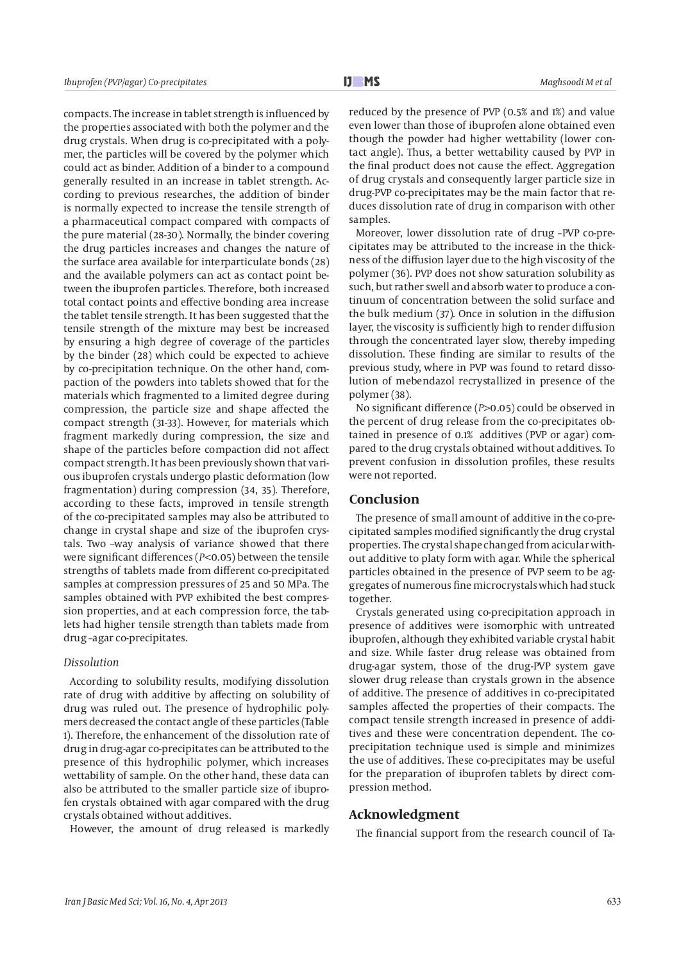compacts. The increase in tablet strength is influenced by the properties associated with both the polymer and the drug crystals. When drug is co-precipitated with a polymer, the particles will be covered by the polymer which could act as binder. Addition of a binder to a compound generally resulted in an increase in tablet strength. According to previous researches, the addition of binder is normally expected to increase the tensile strength of a pharmaceutical compact compared with compacts of the pure material (28-30). Normally, the binder covering the drug particles increases and changes the nature of the surface area available for interparticulate bonds (28) and the available polymers can act as contact point between the ibuprofen particles. Therefore, both increased total contact points and effective bonding area increase the tablet tensile strength. It has been suggested that the tensile strength of the mixture may best be increased by ensuring a high degree of coverage of the particles by the binder (28) which could be expected to achieve by co-precipitation technique. On the other hand, compaction of the powders into tablets showed that for the materials which fragmented to a limited degree during compression, the particle size and shape affected the compact strength (31-33). However, for materials which fragment markedly during compression, the size and shape of the particles before compaction did not affect compact strength. It has been previously shown that various ibuprofen crystals undergo plastic deformation (low fragmentation) during compression (34, 35). Therefore, according to these facts, improved in tensile strength of the co-precipitated samples may also be attributed to change in crystal shape and size of the ibuprofen crystals. Two –way analysis of variance showed that there were significant differences (*P<*0.05) between the tensile strengths of tablets made from different co-precipitated samples at compression pressures of 25 and 50 MPa. The samples obtained with PVP exhibited the best compression properties, and at each compression force, the tablets had higher tensile strength than tablets made from drug –agar co-precipitates.

#### *Dissolution*

According to solubility results, modifying dissolution rate of drug with additive by affecting on solubility of drug was ruled out. The presence of hydrophilic polymers decreased the contact angle of these particles (Table 1). Therefore, the enhancement of the dissolution rate of drug in drug-agar co-precipitates can be attributed to the presence of this hydrophilic polymer, which increases wettability of sample. On the other hand, these data can also be attributed to the smaller particle size of ibuprofen crystals obtained with agar compared with the drug crystals obtained without additives.

However, the amount of drug released is markedly

reduced by the presence of PVP (0.5% and 1%) and value even lower than those of ibuprofen alone obtained even though the powder had higher wettability (lower contact angle). Thus, a better wettability caused by PVP in the final product does not cause the effect. Aggregation of drug crystals and consequently larger particle size in drug-PVP co-precipitates may be the main factor that reduces dissolution rate of drug in comparison with other samples.

Moreover, lower dissolution rate of drug –PVP co-precipitates may be attributed to the increase in the thickness of the diffusion layer due to the high viscosity of the polymer (36). PVP does not show saturation solubility as such, but rather swell and absorb water to produce a continuum of concentration between the solid surface and the bulk medium (37). Once in solution in the diffusion layer, the viscosity is sufficiently high to render diffusion through the concentrated layer slow, thereby impeding dissolution. These finding are similar to results of the previous study, where in PVP was found to retard dissolution of mebendazol recrystallized in presence of the polymer (38).

No significant difference (*P>*0.05) could be observed in the percent of drug release from the co-precipitates obtained in presence of 0.1% additives (PVP or agar) compared to the drug crystals obtained without additives. To prevent confusion in dissolution profiles, these results were not reported.

#### **Conclusion**

The presence of small amount of additive in the co-precipitated samples modified significantly the drug crystal properties. The crystal shape changed from acicular without additive to platy form with agar. While the spherical particles obtained in the presence of PVP seem to be aggregates of numerous fine microcrystals which had stuck together.

Crystals generated using co-precipitation approach in presence of additives were isomorphic with untreated ibuprofen, although they exhibited variable crystal habit and size. While faster drug release was obtained from drug-agar system, those of the drug-PVP system gave slower drug release than crystals grown in the absence of additive. The presence of additives in co-precipitated samples affected the properties of their compacts. The compact tensile strength increased in presence of additives and these were concentration dependent. The coprecipitation technique used is simple and minimizes the use of additives. These co-precipitates may be useful for the preparation of ibuprofen tablets by direct compression method.

#### **Acknowledgment**

The financial support from the research council of Ta-